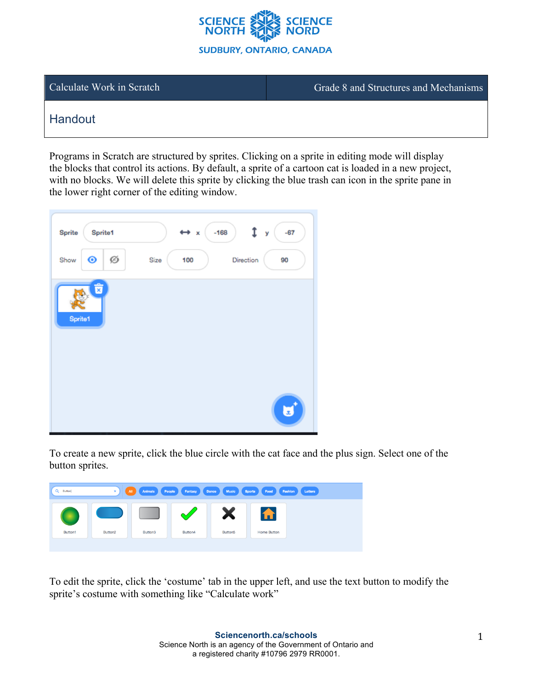

Calculate Work in Scratch Grade 8 and Structures and Mechanisms

## **Handout**

Programs in Scratch are structured by sprites. Clicking on a sprite in editing mode will display the blocks that control its actions. By default, a sprite of a cartoon cat is loaded in a new project, with no blocks. We will delete this sprite by clicking the blue trash can icon in the sprite pane in the lower right corner of the editing window.

| <b>Sprite</b><br><b>Sprite1</b><br>$\bullet$<br>Ø<br>Show | $-67$<br>$-168$<br>$\leftrightarrow x$<br>У<br>Size<br>Direction<br>100<br>90 |
|-----------------------------------------------------------|-------------------------------------------------------------------------------|
| û<br>Sprite1                                              |                                                                               |
|                                                           |                                                                               |
|                                                           | x,                                                                            |

To create a new sprite, click the blue circle with the cat face and the plus sign. Select one of the button sprites.



To edit the sprite, click the 'costume' tab in the upper left, and use the text button to modify the sprite's costume with something like "Calculate work"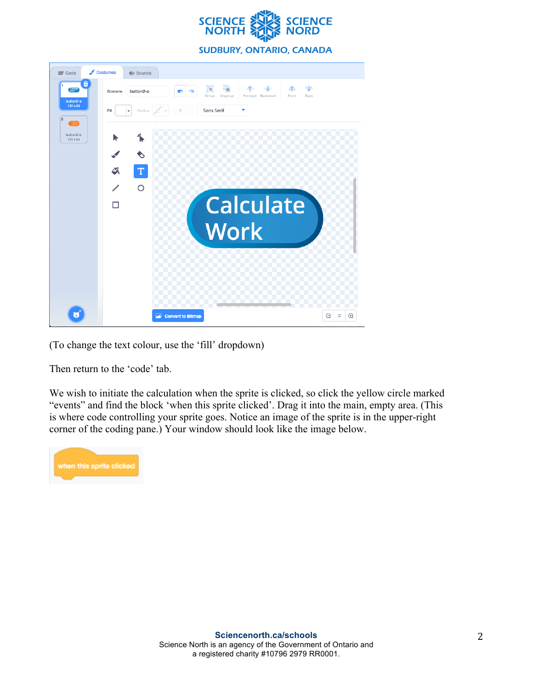

**SUDBURY, ONTARIO, CANADA** 



(To change the text colour, use the 'fill' dropdown)

Then return to the 'code' tab.

We wish to initiate the calculation when the sprite is clicked, so click the yellow circle marked "events" and find the block 'when this sprite clicked'. Drag it into the main, empty area. (This is where code controlling your sprite goes. Notice an image of the sprite is in the upper-right corner of the coding pane.) Your window should look like the image below.

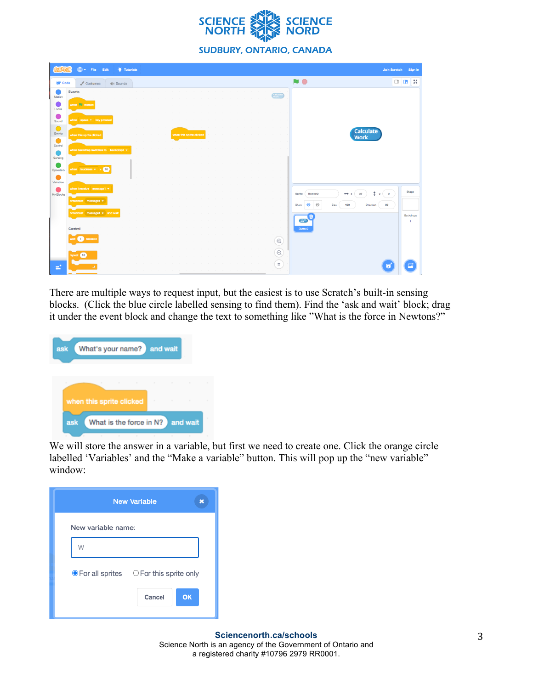

|                      | de File Edit                                | <b>W</b> : Tutorials |  |  |                          |  |  |  |                   |                                                | Join Scratch                                     |                           | Sign in |
|----------------------|---------------------------------------------|----------------------|--|--|--------------------------|--|--|--|-------------------|------------------------------------------------|--------------------------------------------------|---------------------------|---------|
| <b>SET</b> Code      | $\sqrt{\phantom{a}}$ Costumes               | di Sounds            |  |  |                          |  |  |  |                   | NO <sub></sub>                                 |                                                  | $\Box$ $\Box$ $\times$    |         |
| Motion               | Events                                      |                      |  |  |                          |  |  |  | Calculate         |                                                |                                                  |                           |         |
| Looks                | when <b>Ell</b> clicked                     |                      |  |  |                          |  |  |  |                   |                                                |                                                  |                           |         |
| Sound                | when space . key pressed                    |                      |  |  |                          |  |  |  |                   |                                                |                                                  |                           |         |
| $\bigcirc$<br>Events |                                             |                      |  |  |                          |  |  |  |                   |                                                |                                                  |                           |         |
| $\bullet$            | when this sprite clicked                    |                      |  |  | when this sprite clicked |  |  |  |                   | Calculate<br>Work                              |                                                  |                           |         |
| Control              | when backdrop switches to backdrop1 $\star$ |                      |  |  |                          |  |  |  |                   |                                                |                                                  |                           |         |
| Sensing              |                                             |                      |  |  |                          |  |  |  |                   |                                                |                                                  |                           |         |
| Operators            | when loudness $\star$ > 10                  |                      |  |  |                          |  |  |  |                   |                                                |                                                  |                           |         |
| Variables            | when I receive message1 *                   |                      |  |  |                          |  |  |  |                   |                                                |                                                  |                           |         |
| My Blocks            | broadcast message1 =                        |                      |  |  |                          |  |  |  |                   | 37<br>$\leftrightarrow x$<br>Sprite<br>Button2 | $\mathbf{1}$ y $\begin{pmatrix} 2 \end{pmatrix}$ | Stage                     |         |
|                      |                                             |                      |  |  |                          |  |  |  |                   | Ø<br>◉<br>100<br>Direction<br>Size<br>Show     | 90                                               |                           |         |
|                      | broadcast message1 + and wait               |                      |  |  |                          |  |  |  |                   |                                                |                                                  | Backdrops<br>$\mathbf{1}$ |         |
|                      | Control                                     |                      |  |  |                          |  |  |  |                   | Button <sub>2</sub>                            |                                                  |                           |         |
|                      | wait <b>1</b> seconds                       |                      |  |  |                          |  |  |  | $^\circledR$      |                                                |                                                  |                           |         |
|                      | repeat (10)                                 |                      |  |  |                          |  |  |  | $\odot$<br>$\sim$ |                                                |                                                  |                           |         |
| e.                   |                                             |                      |  |  |                          |  |  |  | $\equiv$          |                                                |                                                  |                           |         |
|                      |                                             |                      |  |  |                          |  |  |  |                   |                                                |                                                  |                           |         |

There are multiple ways to request input, but the easiest is to use Scratch's built-in sensing blocks. (Click the blue circle labelled sensing to find them). Find the 'ask and wait' block; drag it under the event block and change the text to something like "What is the force in Newtons?"

| What's your name? and wait<br>ask                 |                    |   |
|---------------------------------------------------|--------------------|---|
| $\sim$                                            |                    | × |
| when this sprite clicked                          | and the control of | ٠ |
| What is the force in N? and wait<br>ask<br>٠<br>٠ | ٠                  |   |

We will store the answer in a variable, but first we need to create one. Click the orange circle labelled 'Variables' and the "Make a variable" button. This will pop up the "new variable" window:

|                    | <b>New Variable</b>                                    |
|--------------------|--------------------------------------------------------|
| New variable name: |                                                        |
| W                  |                                                        |
|                    | $\bullet$ For all sprites $\circ$ For this sprite only |
|                    | OK<br>Cancel                                           |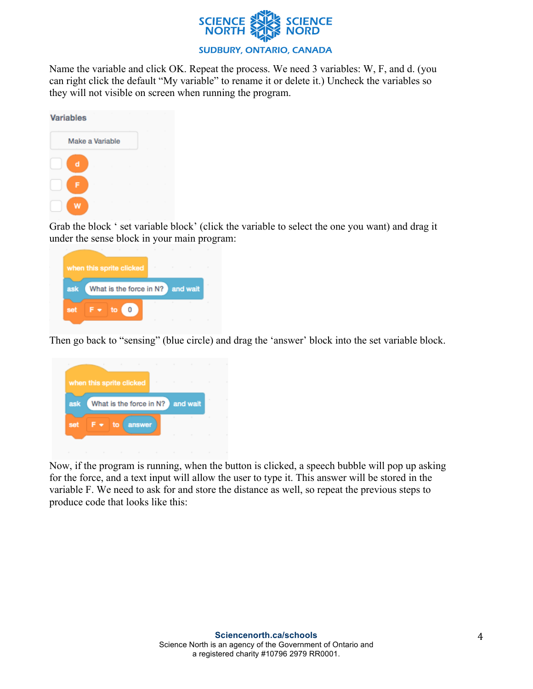

Name the variable and click OK. Repeat the process. We need 3 variables: W, F, and d. (you can right click the default "My variable" to rename it or delete it.) Uncheck the variables so they will not visible on screen when running the program.

| <b>Variables</b> |                 |  |  |  |  |
|------------------|-----------------|--|--|--|--|
|                  | Make a Variable |  |  |  |  |
| d                |                 |  |  |  |  |
| F                |                 |  |  |  |  |
| w                |                 |  |  |  |  |

Grab the block ' set variable block' (click the variable to select the one you want) and drag it under the sense block in your main program:



Then go back to "sensing" (blue circle) and drag the 'answer' block into the set variable block.

|     | when this sprite clicked         | ٠  | $\sim$ | $\sim$<br><b>State</b> | ٠<br>$\sim$ | $\sim$<br>$\sim$ |  |
|-----|----------------------------------|----|--------|------------------------|-------------|------------------|--|
| ask | What is the force in N? and wait |    |        |                        |             |                  |  |
| set | F▼                               | to | answer |                        | $\sim$      | $\sim$           |  |
|     |                                  |    |        |                        | ٠           | ×                |  |

Now, if the program is running, when the button is clicked, a speech bubble will pop up asking for the force, and a text input will allow the user to type it. This answer will be stored in the variable F. We need to ask for and store the distance as well, so repeat the previous steps to produce code that looks like this: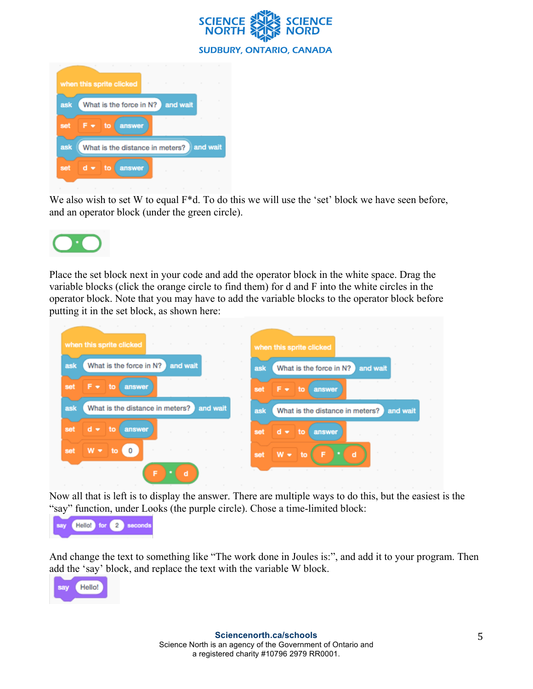



We also wish to set W to equal  $F*d$ . To do this we will use the 'set' block we have seen before, and an operator block (under the green circle).



Place the set block next in your code and add the operator block in the white space. Drag the variable blocks (click the orange circle to find them) for d and F into the white circles in the operator block. Note that you may have to add the variable blocks to the operator block before putting it in the set block, as shown here:

| when this sprite clicked<br><b>Contract</b><br><b>COLLECTION</b> | $\sim$                                                                  |
|------------------------------------------------------------------|-------------------------------------------------------------------------|
| What is the force in N?<br>and wait<br>ask                       | when this sprite clicked<br>What is the force in N?<br>and wait<br>ask  |
| F v<br><b>4to</b><br>answer<br>set                               | F.<br>set<br>to<br>answer<br>$\bullet$                                  |
| What is the distance in meters?<br>and wait<br>ask               | What is the distance in meters?<br>and wait<br>ask<br><b>COLLECTION</b> |
| $d =$<br>to<br>answer<br>set                                     | d<br>set<br>answer<br>$\sim$<br>$\blacksquare$<br>to                    |
| $\sim$<br>$W -$<br>0<br>set<br>to                                | and the state<br>d<br>$W - to$<br>set                                   |
| $\sim$<br>F<br>d                                                 | <b>STATE</b><br><b>COLLEGE</b>                                          |

Now all that is left is to display the answer. There are multiple ways to do this, but the easiest is the "say" function, under Looks (the purple circle). Chose a time-limited block:



And change the text to something like "The work done in Joules is:", and add it to your program. Then add the 'say' block, and replace the text with the variable W block.